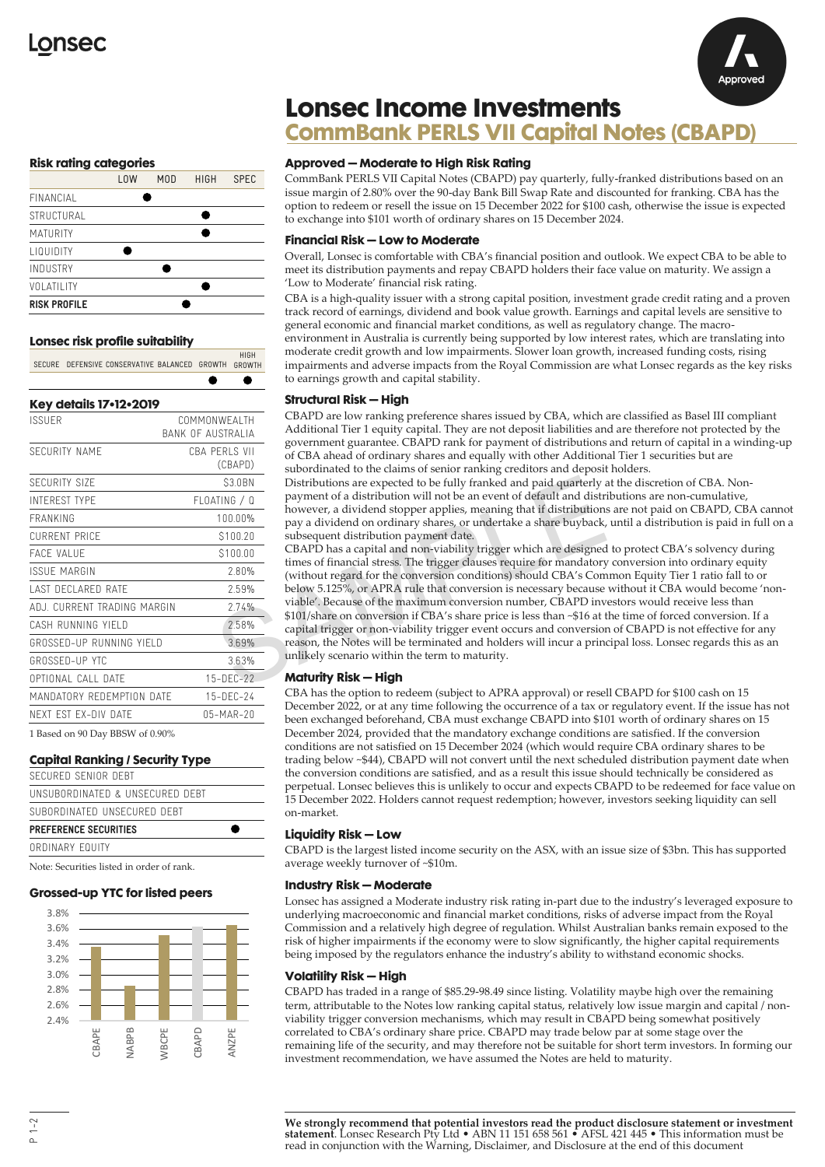

## **Risk rating categories**

|                     | <b>LOW</b> | M <sub>0</sub> | <b>HIGH</b> | <b>SPEC</b> |
|---------------------|------------|----------------|-------------|-------------|
| FINANCIAL           |            |                |             |             |
| STRUCTURAL          |            |                |             |             |
| <b>MATURITY</b>     |            |                |             |             |
| <b>LIQUIDITY</b>    |            |                |             |             |
| <b>INDUSTRY</b>     |            |                |             |             |
| VOLATILITY          |            |                |             |             |
| <b>RISK PROFILE</b> |            |                |             |             |

# **Lonsec risk profile suitability**

HIGH<br>SECURE DEFENSIVE CONSERVATIVE BALANCED GROWTH GROWTH

| COMMONWEAI TH            |  |  |
|--------------------------|--|--|
| RANK OF AUSTRALIA        |  |  |
| CRA PERIS VII<br>(CBAPD) |  |  |
| \$3.0BN                  |  |  |
| FLOATING / Q             |  |  |
| 100 00%                  |  |  |
| \$100.20                 |  |  |
| \$100.00                 |  |  |
| 2.80%                    |  |  |
| 259%                     |  |  |
| 274%                     |  |  |
| 258%                     |  |  |
| 369%                     |  |  |
| 363%                     |  |  |
| $15-DFC-22$              |  |  |
| $15 - DFC - 24$          |  |  |
| 05-MAR-20                |  |  |
|                          |  |  |

1 Based on 90 Day BBSW of 0.90%

## **Capital Ranking / Security Type**

| ORDINARY FOUITY                 |  |
|---------------------------------|--|
| <b>PREFERENCE SECURITIES</b>    |  |
| SUBORDINATED UNSECURED DEBT     |  |
| UNSUBORDINATED & UNSECURED DEBT |  |
| SECURED SENIOR DERT             |  |

Note: Securities listed in order of rank.

#### **Grossed-up YTC for listed peers**



#### **Approved – Moderate to High Risk Rating**

**Lonsec Income Investments**

CommBank PERLS VII Capital Notes (CBAPD) pay quarterly, fully-franked distributions based on an issue margin of 2.80% over the 90-day Bank Bill Swap Rate and discounted for franking. CBA has the option to redeem or resell the issue on 15 December 2022 for \$100 cash, otherwise the issue is expected to exchange into \$101 worth of ordinary shares on 15 December 2024.

**CommBank PERLS VII Capital Notes (CBAPD)**

### **Financial Risk – Low to Moderate**

Overall, Lonsec is comfortable with CBA's financial position and outlook. We expect CBA to be able to meet its distribution payments and repay CBAPD holders their face value on maturity. We assign a 'Low to Moderate' financial risk rating.

CBA is a high-quality issuer with a strong capital position, investment grade credit rating and a proven track record of earnings, dividend and book value growth. Earnings and capital levels are sensitive to general economic and financial market conditions, as well as regulatory change. The macroenvironment in Australia is currently being supported by low interest rates, which are translating into moderate credit growth and low impairments. Slower loan growth, increased funding costs, rising impairments and adverse impacts from the Royal Commission are what Lonsec regards as the key risks to earnings growth and capital stability.

## **Structural Risk – High**

CBAPD are low ranking preference shares issued by CBA, which are classified as Basel III compliant Additional Tier 1 equity capital. They are not deposit liabilities and are therefore not protected by the government guarantee. CBAPD rank for payment of distributions and return of capital in a winding-up of CBA ahead of ordinary shares and equally with other Additional Tier 1 securities but are subordinated to the claims of senior ranking creditors and deposit holders.

Distributions are expected to be fully franked and paid quarterly at the discretion of CBA. Nonpayment of a distribution will not be an event of default and distributions are non-cumulative, however, a dividend stopper applies, meaning that if distributions are not paid on CBAPD, CBA cannot pay a dividend on ordinary shares, or undertake a share buyback, until a distribution is paid in full on a subsequent distribution payment date.

 $\begin{tabular}{c|c|c} \hline S3.0BN & Distributions are expected to be fully translated and paid quarterly at  
parameterly at  
payment of a distribution will not be an event of default and distributions  
however, a dividend stopper applies, meaning that if distributions a  
power, a dividend on ordinary shares, or undertake a share buyback, u  
subsequent distribution payment data.  
5100.00  
5100.00  
5100.00  
5100.00  
5100.00  
5100.00  
5100.01  
2.80%  
2.80%  
2.80%  
2.80%  
2.80%  
2.80%  
2.80%  
2.80$ CBAPD has a capital and non-viability trigger which are designed to protect CBA's solvency during times of financial stress. The trigger clauses require for mandatory conversion into ordinary equity (without regard for the conversion conditions) should CBA's Common Equity Tier 1 ratio fall to or below 5.125%, or APRA rule that conversion is necessary because without it CBA would become 'nonviable'. Because of the maximum conversion number, CBAPD investors would receive less than \$101/share on conversion if CBA's share price is less than ~\$16 at the time of forced conversion. If a capital trigger or non-viability trigger event occurs and conversion of CBAPD is not effective for any reason, the Notes will be terminated and holders will incur a principal loss. Lonsec regards this as an unlikely scenario within the term to maturity.

## **Maturity Risk – High**

CBA has the option to redeem (subject to APRA approval) or resell CBAPD for \$100 cash on 15 December 2022, or at any time following the occurrence of a tax or regulatory event. If the issue has not been exchanged beforehand, CBA must exchange CBAPD into \$101 worth of ordinary shares on 15 December 2024, provided that the mandatory exchange conditions are satisfied. If the conversion conditions are not satisfied on 15 December 2024 (which would require CBA ordinary shares to be trading below ~\$44), CBAPD will not convert until the next scheduled distribution payment date when the conversion conditions are satisfied, and as a result this issue should technically be considered as perpetual. Lonsec believes this is unlikely to occur and expects CBAPD to be redeemed for face value on 15 December 2022. Holders cannot request redemption; however, investors seeking liquidity can sell on-market.

#### **Liquidity Risk – Low**

CBAPD is the largest listed income security on the ASX, with an issue size of \$3bn. This has supported average weekly turnover of ~\$10m.

#### **Industry Risk – Moderate**

Lonsec has assigned a Moderate industry risk rating in-part due to the industry's leveraged exposure to underlying macroeconomic and financial market conditions, risks of adverse impact from the Royal Commission and a relatively high degree of regulation. Whilst Australian banks remain exposed to the risk of higher impairments if the economy were to slow significantly, the higher capital requirements being imposed by the regulators enhance the industry's ability to withstand economic shocks.

#### **Volatility Risk – High**

CBAPD has traded in a range of \$85.29-98.49 since listing. Volatility maybe high over the remaining term, attributable to the Notes low ranking capital status, relatively low issue margin and capital / nonviability trigger conversion mechanisms, which may result in CBAPD being somewhat positively correlated to CBA's ordinary share price. CBAPD may trade below par at some stage over the remaining life of the security, and may therefore not be suitable for short term investors. In forming our investment recommendation, we have assumed the Notes are held to maturity.

**We strongly recommend that potential investors read the product disclosure statement or investment statement**. Lonsec Research Pty Ltd • ABN 11 151 658 561 • AFSL 421 445 • This information must be read in conjunction with the Warning, Disclaimer, and Disclosure at the end of this document